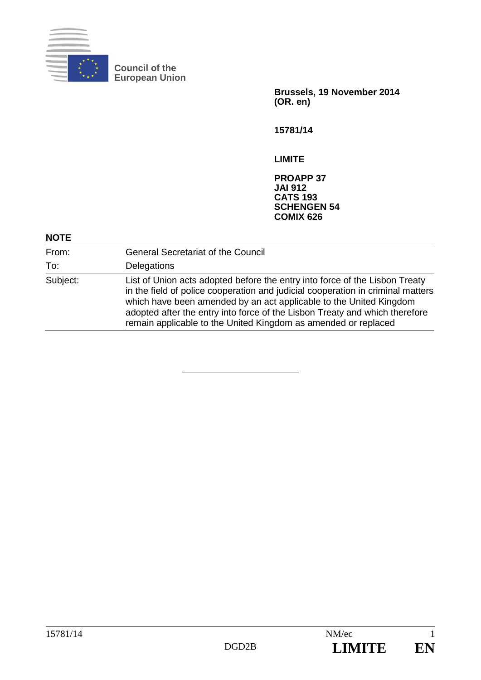

**Council of the European Union** 

> **Brussels, 19 November 2014 (OR. en)**

**15781/14** 

**LIMITE** 

**PROAPP 37 JAI 912 CATS 193 SCHENGEN 54 COMIX 626** 

## **NOTE**

| From:    | <b>General Secretariat of the Council</b>                                                                                                                                                                                                                                                                                                                                             |
|----------|---------------------------------------------------------------------------------------------------------------------------------------------------------------------------------------------------------------------------------------------------------------------------------------------------------------------------------------------------------------------------------------|
| To:      | Delegations                                                                                                                                                                                                                                                                                                                                                                           |
| Subject: | List of Union acts adopted before the entry into force of the Lisbon Treaty<br>in the field of police cooperation and judicial cooperation in criminal matters<br>which have been amended by an act applicable to the United Kingdom<br>adopted after the entry into force of the Lisbon Treaty and which therefore<br>remain applicable to the United Kingdom as amended or replaced |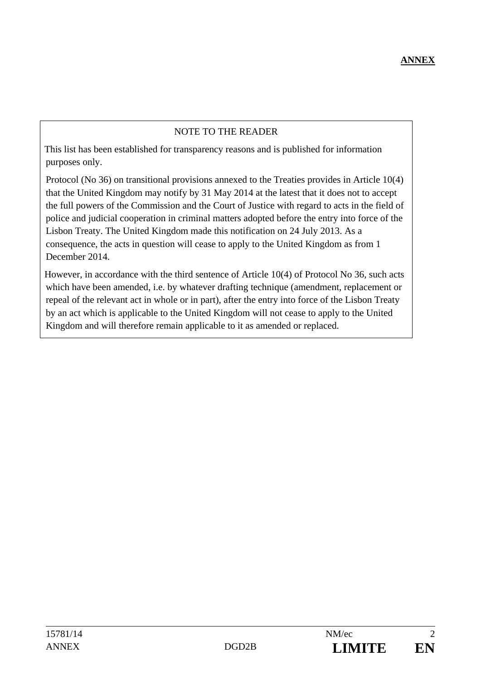## NOTE TO THE READER

This list has been established for transparency reasons and is published for information purposes only.

Protocol (No 36) on transitional provisions annexed to the Treaties provides in Article 10(4) that the United Kingdom may notify by 31 May 2014 at the latest that it does not to accept the full powers of the Commission and the Court of Justice with regard to acts in the field of police and judicial cooperation in criminal matters adopted before the entry into force of the Lisbon Treaty. The United Kingdom made this notification on 24 July 2013. As a consequence, the acts in question will cease to apply to the United Kingdom as from 1 December 2014.

However, in accordance with the third sentence of Article 10(4) of Protocol No 36, such acts which have been amended, i.e. by whatever drafting technique (amendment, replacement or repeal of the relevant act in whole or in part), after the entry into force of the Lisbon Treaty by an act which is applicable to the United Kingdom will not cease to apply to the United Kingdom and will therefore remain applicable to it as amended or replaced.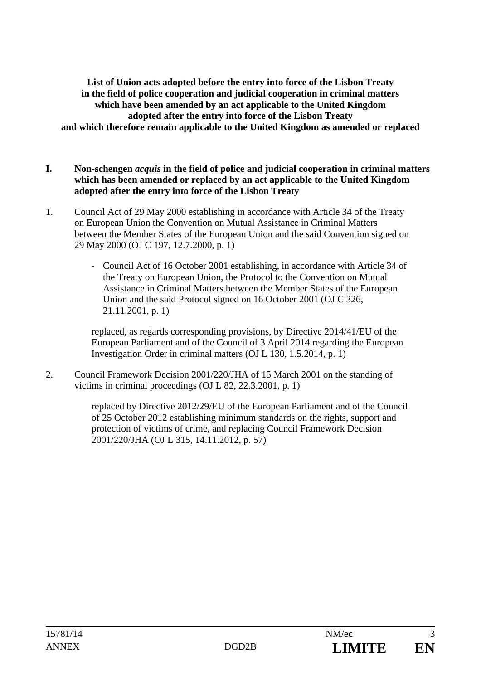**List of Union acts adopted before the entry into force of the Lisbon Treaty in the field of police cooperation and judicial cooperation in criminal matters which have been amended by an act applicable to the United Kingdom adopted after the entry into force of the Lisbon Treaty and which therefore remain applicable to the United Kingdom as amended or replaced** 

- **I. Non-schengen** *acquis* **in the field of police and judicial cooperation in criminal matters which has been amended or replaced by an act applicable to the United Kingdom adopted after the entry into force of the Lisbon Treaty**
- 1. Council Act of 29 May 2000 establishing in accordance with Article 34 of the Treaty on European Union the Convention on Mutual Assistance in Criminal Matters between the Member States of the European Union and the said Convention signed on 29 May 2000 (OJ C 197, 12.7.2000, p. 1)
	- Council Act of 16 October 2001 establishing, in accordance with Article 34 of the Treaty on European Union, the Protocol to the Convention on Mutual Assistance in Criminal Matters between the Member States of the European Union and the said Protocol signed on 16 October 2001 (OJ C 326, 21.11.2001, p. 1)

replaced, as regards corresponding provisions, by Directive 2014/41/EU of the European Parliament and of the Council of 3 April 2014 regarding the European Investigation Order in criminal matters (OJ L 130, 1.5.2014, p. 1)

2. Council Framework Decision 2001/220/JHA of 15 March 2001 on the standing of victims in criminal proceedings (OJ L 82, 22.3.2001, p. 1)

> replaced by Directive 2012/29/EU of the European Parliament and of the Council of 25 October 2012 establishing minimum standards on the rights, support and protection of victims of crime, and replacing Council Framework Decision 2001/220/JHA (OJ L 315, 14.11.2012, p. 57)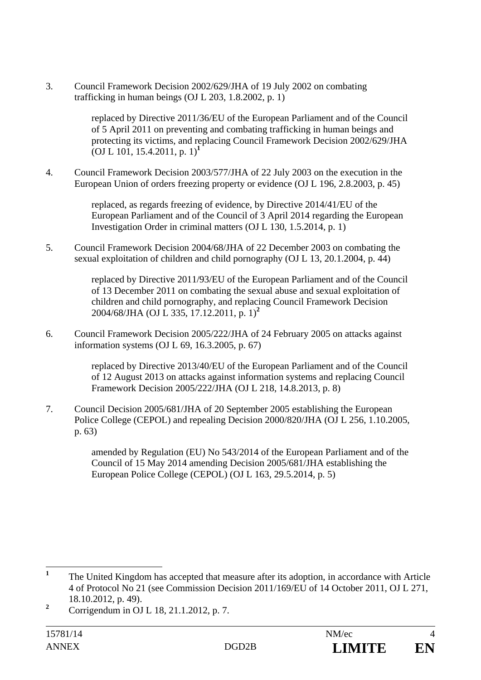3. Council Framework Decision 2002/629/JHA of 19 July 2002 on combating trafficking in human beings (OJ L 203, 1.8.2002, p. 1)

> replaced by Directive 2011/36/EU of the European Parliament and of the Council of 5 April 2011 on preventing and combating trafficking in human beings and protecting its victims, and replacing Council Framework Decision 2002/629/JHA (OJ L 101, 15.4.2011, p. 1)**<sup>1</sup>**

4. Council Framework Decision 2003/577/JHA of 22 July 2003 on the execution in the European Union of orders freezing property or evidence (OJ L 196, 2.8.2003, p. 45)

> replaced, as regards freezing of evidence, by Directive 2014/41/EU of the European Parliament and of the Council of 3 April 2014 regarding the European Investigation Order in criminal matters (OJ L 130, 1.5.2014, p. 1)

5. Council Framework Decision 2004/68/JHA of 22 December 2003 on combating the sexual exploitation of children and child pornography (OJ L 13, 20.1.2004, p. 44)

> replaced by Directive 2011/93/EU of the European Parliament and of the Council of 13 December 2011 on combating the sexual abuse and sexual exploitation of children and child pornography, and replacing Council Framework Decision 2004/68/JHA (OJ L 335, 17.12.2011, p. 1)**<sup>2</sup>**

6. Council Framework Decision 2005/222/JHA of 24 February 2005 on attacks against information systems (OJ L 69, 16.3.2005, p. 67)

> replaced by Directive 2013/40/EU of the European Parliament and of the Council of 12 August 2013 on attacks against information systems and replacing Council Framework Decision 2005/222/JHA (OJ L 218, 14.8.2013, p. 8)

7. Council Decision 2005/681/JHA of 20 September 2005 establishing the European Police College (CEPOL) and repealing Decision 2000/820/JHA (OJ L 256, 1.10.2005, p. 63)

> amended by Regulation (EU) No 543/2014 of the European Parliament and of the Council of 15 May 2014 amending Decision 2005/681/JHA establishing the European Police College (CEPOL) (OJ L 163, 29.5.2014, p. 5)

 **1** The United Kingdom has accepted that measure after its adoption, in accordance with Article 4 of Protocol No 21 (see Commission Decision 2011/169/EU of 14 October 2011, OJ L 271, 18.10.2012, p. 49).

**<sup>2</sup>** Corrigendum in OJ L 18, 21.1.2012, p. 7.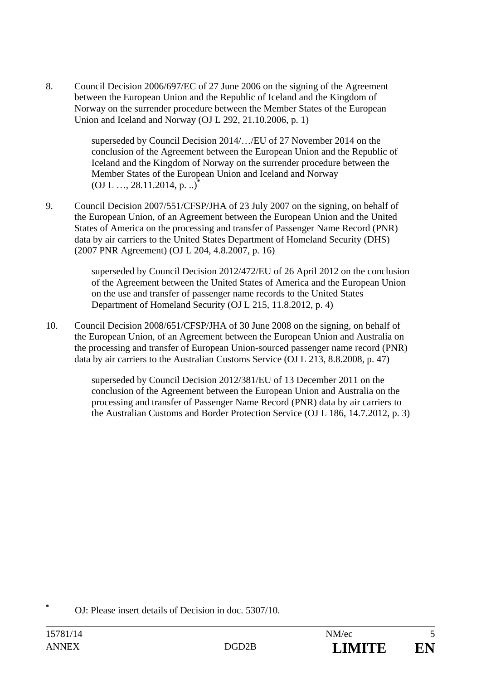8. Council Decision 2006/697/EC of 27 June 2006 on the signing of the Agreement between the European Union and the Republic of Iceland and the Kingdom of Norway on the surrender procedure between the Member States of the European Union and Iceland and Norway (OJ L 292, 21.10.2006, p. 1)

> superseded by Council Decision 2014/…/EU of 27 November 2014 on the conclusion of the Agreement between the European Union and the Republic of Iceland and the Kingdom of Norway on the surrender procedure between the Member States of the European Union and Iceland and Norway (OJ L …, 28.11.2014, p. ..)**\***

9. Council Decision 2007/551/CFSP/JHA of 23 July 2007 on the signing, on behalf of the European Union, of an Agreement between the European Union and the United States of America on the processing and transfer of Passenger Name Record (PNR) data by air carriers to the United States Department of Homeland Security (DHS) (2007 PNR Agreement) (OJ L 204, 4.8.2007, p. 16)

> superseded by Council Decision 2012/472/EU of 26 April 2012 on the conclusion of the Agreement between the United States of America and the European Union on the use and transfer of passenger name records to the United States Department of Homeland Security (OJ L 215, 11.8.2012, p. 4)

10. Council Decision 2008/651/CFSP/JHA of 30 June 2008 on the signing, on behalf of the European Union, of an Agreement between the European Union and Australia on the processing and transfer of European Union-sourced passenger name record (PNR) data by air carriers to the Australian Customs Service (OJ L 213, 8.8.2008, p. 47)

> superseded by Council Decision 2012/381/EU of 13 December 2011 on the conclusion of the Agreement between the European Union and Australia on the processing and transfer of Passenger Name Record (PNR) data by air carriers to the Australian Customs and Border Protection Service (OJ L 186, 14.7.2012, p. 3)

 $\overline{a}$ **\***

OJ: Please insert details of Decision in doc. 5307/10.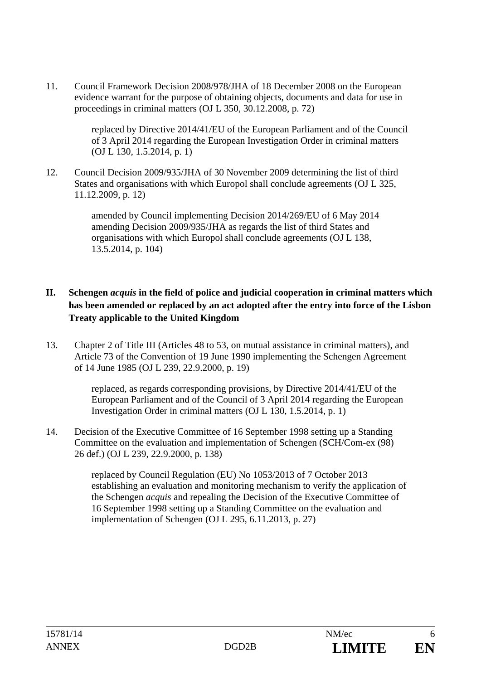11. Council Framework Decision 2008/978/JHA of 18 December 2008 on the European evidence warrant for the purpose of obtaining objects, documents and data for use in proceedings in criminal matters (OJ L 350, 30.12.2008, p. 72)

> replaced by Directive 2014/41/EU of the European Parliament and of the Council of 3 April 2014 regarding the European Investigation Order in criminal matters (OJ L 130, 1.5.2014, p. 1)

12. Council Decision 2009/935/JHA of 30 November 2009 determining the list of third States and organisations with which Europol shall conclude agreements (OJ L 325, 11.12.2009, p. 12)

> amended by Council implementing Decision 2014/269/EU of 6 May 2014 amending Decision 2009/935/JHA as regards the list of third States and organisations with which Europol shall conclude agreements (OJ L 138, 13.5.2014, p. 104)

## **II. Schengen** *acquis* **in the field of police and judicial cooperation in criminal matters which has been amended or replaced by an act adopted after the entry into force of the Lisbon Treaty applicable to the United Kingdom**

13. Chapter 2 of Title III (Articles 48 to 53, on mutual assistance in criminal matters), and Article 73 of the Convention of 19 June 1990 implementing the Schengen Agreement of 14 June 1985 (OJ L 239, 22.9.2000, p. 19)

> replaced, as regards corresponding provisions, by Directive 2014/41/EU of the European Parliament and of the Council of 3 April 2014 regarding the European Investigation Order in criminal matters (OJ L 130, 1.5.2014, p. 1)

14. Decision of the Executive Committee of 16 September 1998 setting up a Standing Committee on the evaluation and implementation of Schengen (SCH/Com-ex (98) 26 def.) (OJ L 239, 22.9.2000, p. 138)

> replaced by Council Regulation (EU) No 1053/2013 of 7 October 2013 establishing an evaluation and monitoring mechanism to verify the application of the Schengen *acquis* and repealing the Decision of the Executive Committee of 16 September 1998 setting up a Standing Committee on the evaluation and implementation of Schengen (OJ L 295, 6.11.2013, p. 27)